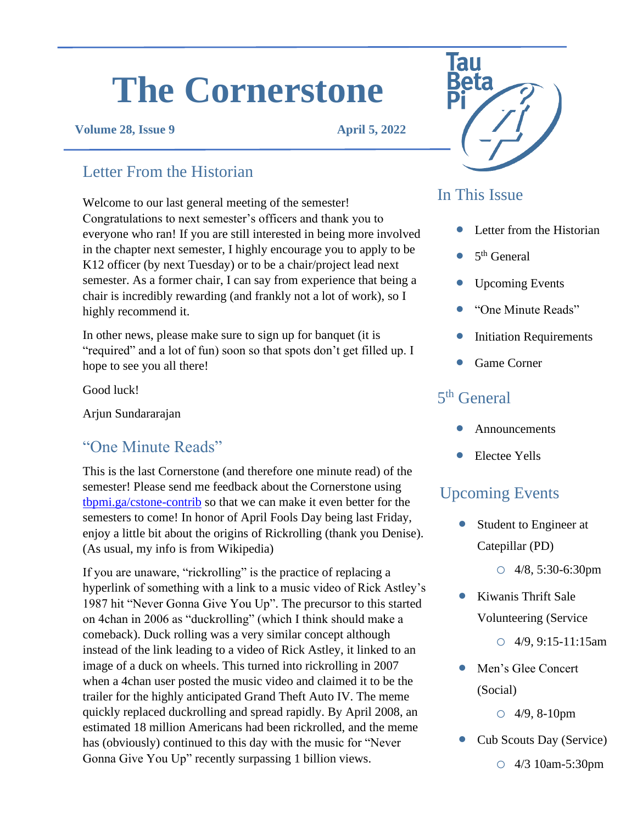# **The Cornerstone**

#### **Volume 28, Issue 9 April 5, 2022**

## Letter From the Historian

Welcome to our last general meeting of the semester! Congratulations to next semester's officers and thank you to everyone who ran! If you are still interested in being more involved in the chapter next semester, I highly encourage you to apply to be K12 officer (by next Tuesday) or to be a chair/project lead next semester. As a former chair, I can say from experience that being a chair is incredibly rewarding (and frankly not a lot of work), so I highly recommend it.

In other news, please make sure to sign up for banquet (it is "required" and a lot of fun) soon so that spots don't get filled up. I hope to see you all there!

Good luck!

Arjun Sundararajan

# • Electee Yells "One Minute Reads"

This is the last Cornerstone (and therefore one minute read) of the semester! Please send me feedback about the Cornerstone using [tbpmi.ga/cstone-contrib](https://tbpmi.ga/cstone-contrib) so that we can make it even better for the semesters to come! In honor of April Fools Day being last Friday, enjoy a little bit about the origins of Rickrolling (thank you Denise). (As usual, my info is from Wikipedia)

If you are unaware, "rickrolling" is the practice of replacing a hyperlink of something with a link to a music video of Rick Astley's 1987 hit "Never Gonna Give You Up". The precursor to this started on 4chan in 2006 as "duckrolling" (which I think should make a comeback). Duck rolling was a very similar concept although instead of the link leading to a video of Rick Astley, it linked to an image of a duck on wheels. This turned into rickrolling in 2007 when a 4chan user posted the music video and claimed it to be the trailer for the highly anticipated Grand Theft Auto IV. The meme quickly replaced duckrolling and spread rapidly. By April 2008, an estimated 18 million Americans had been rickrolled, and the meme has (obviously) continued to this day with the music for "Never Gonna Give You Up" recently surpassing 1 billion views.



## In This Issue

- Letter from the Historian
- $\bullet$  5<sup>th</sup> General
- Upcoming Events
- "One Minute Reads"
- **Initiation Requirements**
- Game Corner

#### 5<sup>th</sup> General

- **Announcements**
- 

#### Upcoming Events

Student to Engineer at Catepillar (PD)

o 4/8, 5:30-6:30pm

• Kiwanis Thrift Sale Volunteering (Service

 $O$  4/9, 9:15-11:15am

• Men's Glee Concert (Social)

```
o 4/9, 8-10pm
```
- Cub Scouts Day (Service)
	- o 4/3 10am-5:30pm